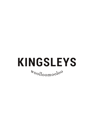# **KINGSLEYS**  $\frac{1}{2}$ <sup>t</sup><sup>t</sup>oolloomoolo<sup>o</sup>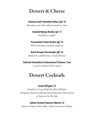# Dessert & Cheese

## **Valrhona Dark Chocolate Delice (gf) 16**

*Hazelnut, cocoa nibs, salted caramel ice cream*

**Smoked Mango Bombe (gf) 17** *Feuilletine crumble*

**Passionfruit Créme Brulee (gf) 16**

*White chocolate, pistachio, raspberry*

**Burnt Basque Cheesecake (gf) 16** *Mandarin, vanilla beans, Grand Marnier*

**Selected Australian & International Cheeses 12ea**  *Lavosh, crisp fruit bread, quince*

# Dessert Cocktails

#### **Grand Affogato 16**

*Vanilla Ice Cream With One Shot Of Either Frangelico/Disaronno/Baileys/Grand Marnier/Macadamia & Espresso On The Side*

#### **Salted Caramel Espresso Martini 22**

*Espresso Shaken With Vodka, Salted Caramel & Kahlua*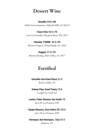# Dessert Wine

#### **Henshke 24.5 | 86**

*Noble Gewurztraminer Adelaide Hills, SA 20116* 

**Vasse Felix 16.5 | 70**

*Cane Cut Semillon Margaret River, WA 2017*

#### **Yalumba 'FSW8B' 16.5 | 59**

*Botrytis Viognier, Wrattonbully, SA 2018* 

## **Heggies 17.5 | 70**

*Botrytis Riesling, Eden Valley, SA 2017*

# Fortified

## **Dutschke Sun Dried Shiraz 21.5**

*Barossa Valley, SA*

### **Galway Pipe, Grand Tawny 14.5**

*Langhorne Creek, SA*

### **Lustau, Pedro Ximenez San Emilio 13**

*Jerez De La Frontera, ESP* 

## **Equipo Navazos, Gran Solera 25+ 32.5** *Jerez De La Frontera, ESP*

## **Henriquez And Henriquez, 15yo 37.5** *Maderia, PT*